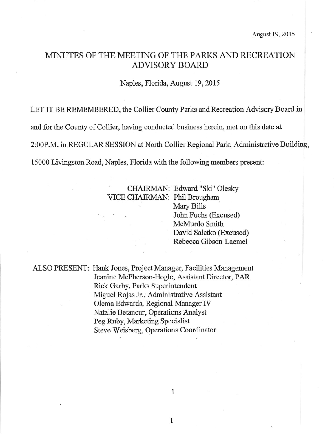# MINUTES OF THE MEETING OF THE PARKS AND RECREATION ADVISORY BOARD

Naples, Florida, August 19,2015

LET IT BE REMEMBERED, the Collier County Parks and Recreation Advisory Board in

and for the County of Collier, having conducted business herein, met on this date at

2:00P.M. in REGULAR SESSION at North Collier Regional Parl, Administative Building,

15000 Livingston Road, Naples, Florida with the following members present:

## CHAIRMAN: Edward "Ski" Olesky VICE CHAIRMAN: Phil Brougham

Mary Bills John Fuchs (Excused) McMurdo Smith David Saletko (Excused) Rebecca Gibson-Laemel

ALSO PRESENT: Hank Jones, Project Manager, Facilities Management Jeanine McPherson-Hogle, Assistant Director, PAR Rick Garby, Parks Superintendent Mguel Rojas Jr., Administrative Assistant . Olema Edwards, Regional Manager fV Natalie Betancur, Operations Analyst Peg Ruby, Marketing Specialist Steve Weisberg, Operations Coordinator

1

 $\mathbf{1}$